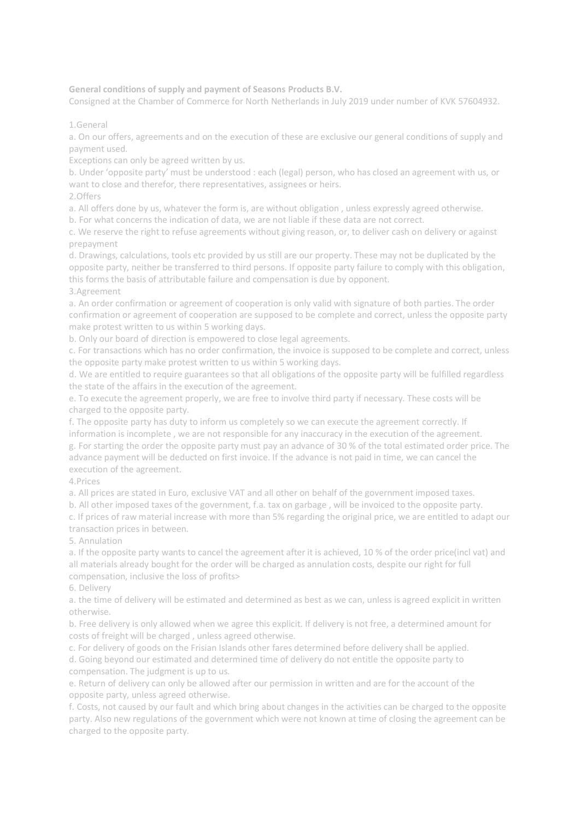**General conditions of supply and payment of Seasons Products B.V.** 

Consigned at the Chamber of Commerce for North Netherlands in July 2019 under number of KVK 57604932.

1.General

a. On our offers, agreements and on the execution of these are exclusive our general conditions of supply and payment used.

Exceptions can only be agreed written by us.

b. Under 'opposite party' must be understood : each (legal) person, who has closed an agreement with us, or want to close and therefor, there representatives, assignees or heirs.

2.Offers

a. All offers done by us, whatever the form is, are without obligation , unless expressly agreed otherwise.

b. For what concerns the indication of data, we are not liable if these data are not correct.

c. We reserve the right to refuse agreements without giving reason, or, to deliver cash on delivery or against prepayment

d. Drawings, calculations, tools etc provided by us still are our property. These may not be duplicated by the opposite party, neither be transferred to third persons. If opposite party failure to comply with this obligation, this forms the basis of attributable failure and compensation is due by opponent. 3.Agreement

a. An order confirmation or agreement of cooperation is only valid with signature of both parties. The order confirmation or agreement of cooperation are supposed to be complete and correct, unless the opposite party make protest written to us within 5 working days.

b. Only our board of direction is empowered to close legal agreements.

c. For transactions which has no order confirmation, the invoice is supposed to be complete and correct, unless the opposite party make protest written to us within 5 working days.

d. We are entitled to require guarantees so that all obligations of the opposite party will be fulfilled regardless the state of the affairs in the execution of the agreement.

e. To execute the agreement properly, we are free to involve third party if necessary. These costs will be charged to the opposite party.

f. The opposite party has duty to inform us completely so we can execute the agreement correctly. If information is incomplete , we are not responsible for any inaccuracy in the execution of the agreement. g. For starting the order the opposite party must pay an advance of 30 % of the total estimated order price. The advance payment will be deducted on first invoice. If the advance is not paid in time, we can cancel the execution of the agreement.

4.Prices

a. All prices are stated in Euro, exclusive VAT and all other on behalf of the government imposed taxes.

b. All other imposed taxes of the government, f.a. tax on garbage , will be invoiced to the opposite party.

c. If prices of raw material increase with more than 5% regarding the original price, we are entitled to adapt our transaction prices in between.

5. Annulation

a. If the opposite party wants to cancel the agreement after it is achieved, 10 % of the order price(incl vat) and all materials already bought for the order will be charged as annulation costs, despite our right for full compensation, inclusive the loss of profits>

6. Delivery

a. the time of delivery will be estimated and determined as best as we can, unless is agreed explicit in written otherwise.

b. Free delivery is only allowed when we agree this explicit. If delivery is not free, a determined amount for costs of freight will be charged , unless agreed otherwise.

c. For delivery of goods on the Frisian Islands other fares determined before delivery shall be applied. d. Going beyond our estimated and determined time of delivery do not entitle the opposite party to compensation. The judgment is up to us.

e. Return of delivery can only be allowed after our permission in written and are for the account of the opposite party, unless agreed otherwise.

f. Costs, not caused by our fault and which bring about changes in the activities can be charged to the opposite party. Also new regulations of the government which were not known at time of closing the agreement can be charged to the opposite party.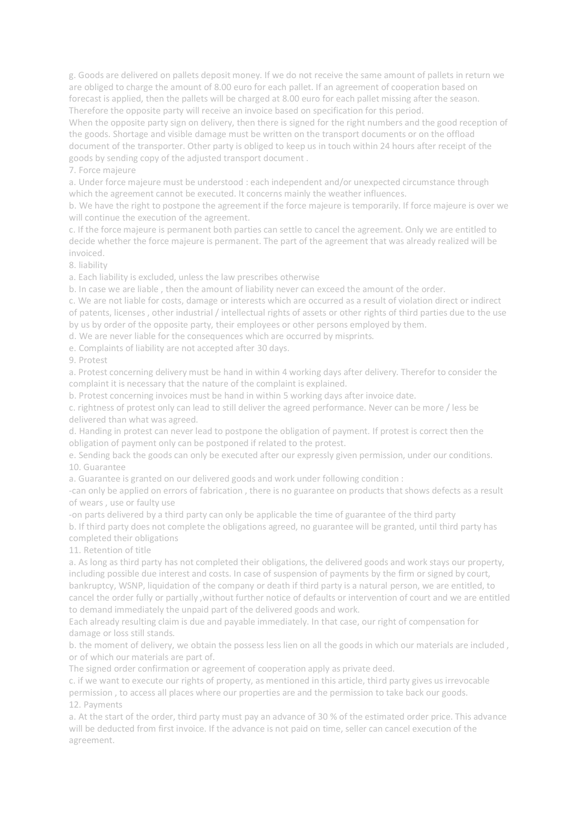g. Goods are delivered on pallets deposit money. If we do not receive the same amount of pallets in return we are obliged to charge the amount of 8.00 euro for each pallet. If an agreement of cooperation based on forecast is applied, then the pallets will be charged at 8.00 euro for each pallet missing after the season. Therefore the opposite party will receive an invoice based on specification for this period.

When the opposite party sign on delivery, then there is signed for the right numbers and the good reception of the goods. Shortage and visible damage must be written on the transport documents or on the offload document of the transporter. Other party is obliged to keep us in touch within 24 hours after receipt of the goods by sending copy of the adjusted transport document .

7. Force majeure

a. Under force majeure must be understood : each independent and/or unexpected circumstance through which the agreement cannot be executed. It concerns mainly the weather influences.

b. We have the right to postpone the agreement if the force majeure is temporarily. If force majeure is over we will continue the execution of the agreement.

c. If the force majeure is permanent both parties can settle to cancel the agreement. Only we are entitled to decide whether the force majeure is permanent. The part of the agreement that was already realized will be invoiced.

8. liability

a. Each liability is excluded, unless the law prescribes otherwise

b. In case we are liable , then the amount of liability never can exceed the amount of the order.

c. We are not liable for costs, damage or interests which are occurred as a result of violation direct or indirect of patents, licenses , other industrial / intellectual rights of assets or other rights of third parties due to the use by us by order of the opposite party, their employees or other persons employed by them.

d. We are never liable for the consequences which are occurred by misprints.

e. Complaints of liability are not accepted after 30 days.

9. Protest

a. Protest concerning delivery must be hand in within 4 working days after delivery. Therefor to consider the complaint it is necessary that the nature of the complaint is explained.

b. Protest concerning invoices must be hand in within 5 working days after invoice date.

c. rightness of protest only can lead to still deliver the agreed performance. Never can be more / less be delivered than what was agreed.

d. Handing in protest can never lead to postpone the obligation of payment. If protest is correct then the obligation of payment only can be postponed if related to the protest.

e. Sending back the goods can only be executed after our expressly given permission, under our conditions. 10. Guarantee

a. Guarantee is granted on our delivered goods and work under following condition :

-can only be applied on errors of fabrication , there is no guarantee on products that shows defects as a result of wears , use or faulty use

-on parts delivered by a third party can only be applicable the time of guarantee of the third party b. If third party does not complete the obligations agreed, no guarantee will be granted, until third party has completed their obligations

11. Retention of title

a. As long as third party has not completed their obligations, the delivered goods and work stays our property, including possible due interest and costs. In case of suspension of payments by the firm or signed by court, bankruptcy, WSNP, liquidation of the company or death if third party is a natural person, we are entitled, to cancel the order fully or partially ,without further notice of defaults or intervention of court and we are entitled to demand immediately the unpaid part of the delivered goods and work.

Each already resulting claim is due and payable immediately. In that case, our right of compensation for damage or loss still stands.

b. the moment of delivery, we obtain the possess less lien on all the goods in which our materials are included , or of which our materials are part of.

The signed order confirmation or agreement of cooperation apply as private deed.

c. if we want to execute our rights of property, as mentioned in this article, third party gives us irrevocable permission , to access all places where our properties are and the permission to take back our goods. 12. Payments

a. At the start of the order, third party must pay an advance of 30 % of the estimated order price. This advance will be deducted from first invoice. If the advance is not paid on time, seller can cancel execution of the agreement.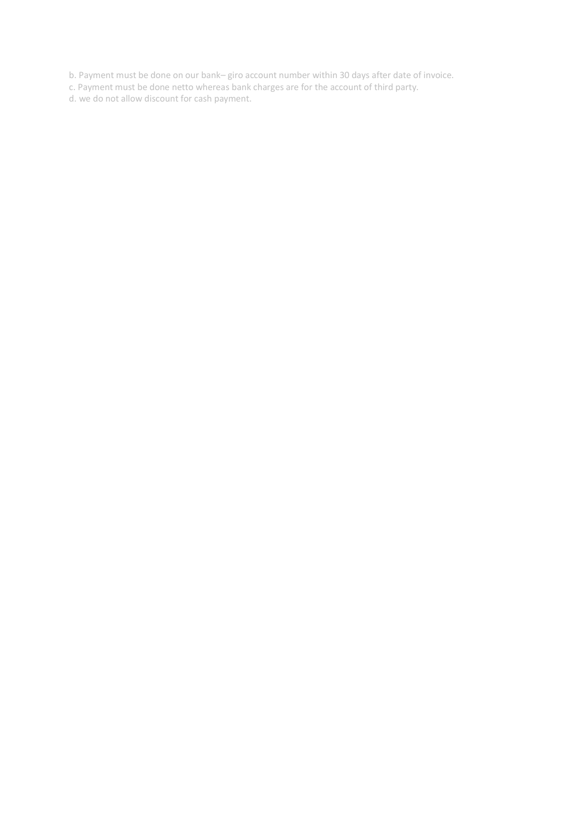b. Payment must be done on our bank– giro account number within 30 days after date of invoice.

c. Payment must be done netto whereas bank charges are for the account of third party.

d. we do not allow discount for cash payment.